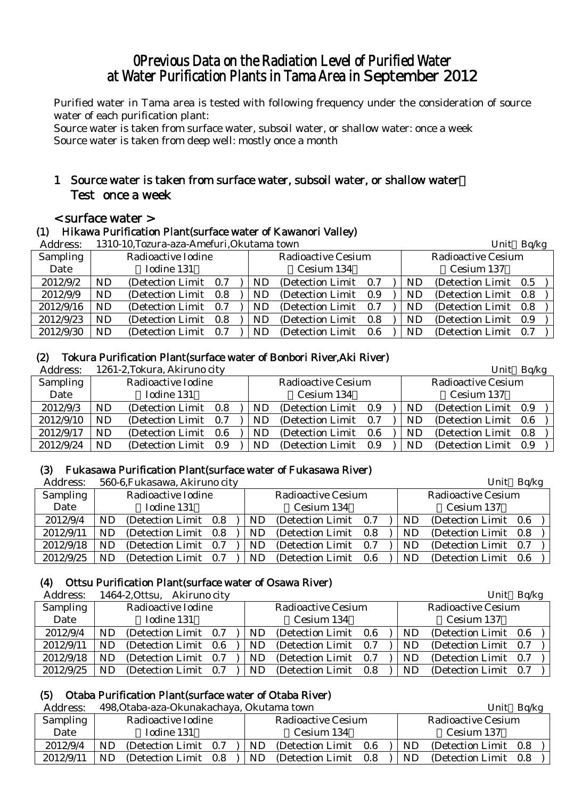# 0Previous Data on the Radiation Level of Purified Water at Water Purification Plants in Tama Area in September 2012

Purified water in Tama area is tested with following frequency under the consideration of source water of each purification plant:

Source water is taken from surface water, subsoil water, or shallow water: once a week Source water is taken from deep well: mostly once a month

# 1 Source water is taken from surface water, subsoil water, or shallow water: Test once a week

# < surface water >

# (1) Hikawa Purification Plant(surface water of Kawanori Valley)

| Address:  |           | 1310-10, Tozura-aza-Amefuri, Okutama town |         |  |     | Unit                      | Bq/kg |    |                           |  |
|-----------|-----------|-------------------------------------------|---------|--|-----|---------------------------|-------|----|---------------------------|--|
| Sampling  |           | Radioactive Iodine                        |         |  |     | <b>Radioactive Cesium</b> |       |    | <b>Radioactive Cesium</b> |  |
| Date      |           | Iodine 131                                |         |  |     | Cesium 134                |       |    | Cesium 137                |  |
| 2012/9/2  | <b>ND</b> | (Detection Limit 0.7)                     |         |  | ND. | (Detection Limit 0.7)     |       | ND | (Detection Limit 0.5)     |  |
| 2012/9/9  | ND        | (Detection Limit)<br>- 0.8                |         |  |     | (Detection Limit 0.9)     |       | ND | (Detection Limit 0.8)     |  |
| 2012/9/16 | <b>ND</b> | (Detection Limit)                         | 0.7     |  | ND  | (Detection Limit 0.7)     |       | ND | (Detection Limit 0.8)     |  |
| 2012/9/23 | <b>ND</b> | (Detection Limit)                         | $0.8\,$ |  | ND  | (Detection Limit 0.8)     |       | ND | (Detection Limit 0.9)     |  |
| 2012/9/30 | ND        | (Detection Limit)<br>0.7                  |         |  | ND. | (Detection Limit)         | - 0.6 | ND | (Detection Limit 0.7)     |  |

#### (2) Tokura Purification Plant(surface water of Bonbori River,Aki River)

| Address:        |    | 1261-2, Tokura, Akiruno city |     |    |                           |      |           | Unit                      | Bq/kg |
|-----------------|----|------------------------------|-----|----|---------------------------|------|-----------|---------------------------|-------|
| <b>Sampling</b> |    | Radioactive Iodine           |     |    | <b>Radioactive Cesium</b> |      |           | <b>Radioactive Cesium</b> |       |
| Date            |    | Iodine 131                   |     |    | Cesium 134                |      |           | Cesium 137                |       |
| 2012/9/3        | ND | (Detection Limit)            | 0.8 | ND | (Detection Limit 0.9)     |      | ND        | (Detection Limit 0.9)     |       |
| 2012/9/10       | ND | (Detection Limit)            | 0.7 | ND | (Detection Limit 0.7)     |      | <b>ND</b> | (Detection Limit 0.6)     |       |
| 2012/9/17       | ND | (Detection Limit)            | 0.6 | ND | (Detection Limit)         | -0.6 | ND        | (Detection Limit 0.8)     |       |
| 2012/9/24       | ND | (Detection Limit)            | 0.9 | ND | (Detection Limit)         | 0.9  | ND        | (Detection Limit 0.9)     |       |

# (3) Fukasawa Purification Plant(surface water of Fukasawa River)

| Address:        |    | 560-6, Fukasawa, Akiruno city |     |     |                       |     |           | Unit                  | Bq/kg |
|-----------------|----|-------------------------------|-----|-----|-----------------------|-----|-----------|-----------------------|-------|
| <b>Sampling</b> |    | Radioactive Iodine            |     |     | Radioactive Cesium    |     |           | Radioactive Cesium    |       |
| Date            |    | Iodine 131                    |     |     | Cesium 134            |     |           | Cesium 137            |       |
| 2012/9/4        | ND | (Detection Limit 0.8)         |     | ND. | (Detection Limit 0.7) |     | ND.       | (Detection Limit 0.6) |       |
| 2012/9/11       | ND | (Detection Limit 0.8)         |     | ND. | (Detection Limit)     | 0.8 | <b>ND</b> | (Detection Limit 0.8) |       |
| 2012/9/18       | ND | (Detection Limit 0.7)         |     | ND. | (Detection Limit)     | 0.7 | ND        | (Detection Limit 0.7) |       |
| 2012/9/25       | ND | (Detection Limit)             | 0.7 | ND. | (Detection Limit)     | 0.6 | ND        | (Detection Limit 0.6) |       |

# (4) Ottsu Purification Plant(surface water of Osawa River)

Address: 1464-2,Ottsu, Akiruno city Unit Bq/kg

| Auuress.  |    | 1404-4,UUSU, AKIFUNO CILV |     |     |                           |     |    | UIIIU.                    | DU/Kg |  |
|-----------|----|---------------------------|-----|-----|---------------------------|-----|----|---------------------------|-------|--|
| Sampling  |    | Radioactive Iodine        |     |     | <b>Radioactive Cesium</b> |     |    | <b>Radioactive Cesium</b> |       |  |
| Date      |    | Iodine 131                |     |     | Cesium 134                |     |    | Cesium 137                |       |  |
| 2012/9/4  | ND | (Detection Limit 0.7)     |     | ND  | (Detection Limit)         | 0.6 | ND | (Detection Limit 0.6)     |       |  |
| 2012/9/11 | ND | (Detection Limit 0.6)     |     | ND. | (Detection Limit 0.7)     |     | ND | (Detection Limit 0.7)     |       |  |
| 2012/9/18 | ND | (Detection Limit 0.7)     |     | ND  | (Detection Limit 0.7)     |     | ND | (Detection Limit 0.7)     |       |  |
| 2012/9/25 | ND | (Detection Limit)         | 0.7 | ND  | (Detection Limit)         | 0.8 | ND | (Detection Limit)         | 0.7   |  |

# (5) Otaba Purification Plant(surface water of Otaba River)

Address: 498,Otaba-aza-Okunakachaya, Okutama town Unit Bq/kg

| Address:  | 498.Otaba-aza-Okunakachaya, Okutama town |                                 | UIIIU<br>DU/KP                     |
|-----------|------------------------------------------|---------------------------------|------------------------------------|
| Sampling  | Radioactive Iodine                       | <b>Radioactive Cesium</b>       | <b>Radioactive Cesium</b>          |
| Date      | Iodine 131                               | Cesium 134                      | Cesium 137                         |
| 2012/9/4  | ND<br>(Detection Limit 0.7)              | (Detection Limit)<br>ND.<br>0.6 | (Detection Limit 0.8)<br>ND.       |
| 2012/9/11 | ND<br>(Detection Limit)<br>0.8           | ND.<br>(Detection Limit)<br>0.8 | <b>ND</b><br>(Detection Limit 0.8) |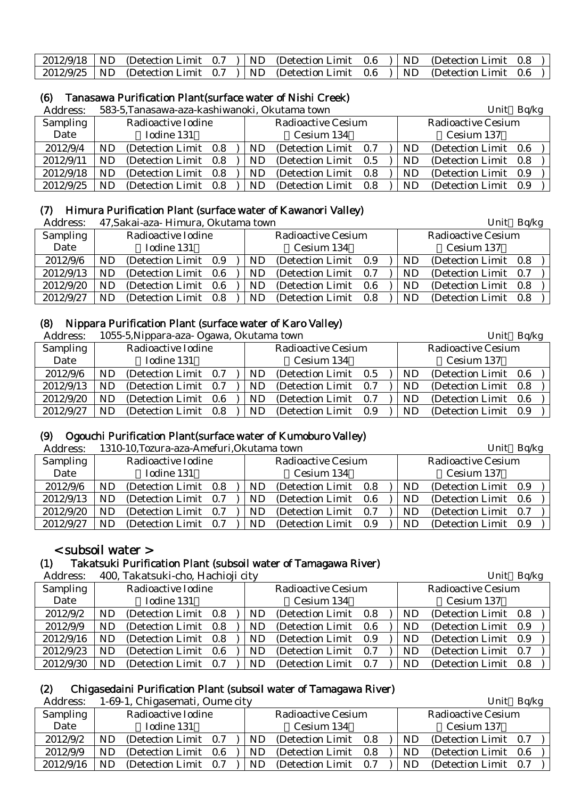|  |  | 2012/9/18   ND (Detection Limit 0.7 )   ND (Detection Limit 0.6 )   ND (Detection Limit 0.8 ) |  |  |  |
|--|--|-----------------------------------------------------------------------------------------------|--|--|--|
|  |  | 2012/9/25   ND (Detection Limit 0.7 )   ND (Detection Limit 0.6 )   ND (Detection Limit 0.6 ) |  |  |  |

# (6) Tanasawa Purification Plant(surface water of Nishi Creek)

| Address:  |    | 583-5, Tanasawa-aza-kashiwanoki, Okutama town |  |     |                           | Unit | Bq/kg |                           |     |
|-----------|----|-----------------------------------------------|--|-----|---------------------------|------|-------|---------------------------|-----|
| Sampling  |    | Radioactive Iodine                            |  |     | <b>Radioactive Cesium</b> |      |       | <b>Radioactive Cesium</b> |     |
| Date      |    | Iodine 131                                    |  |     | Cesium 134                |      |       | Cesium 137                |     |
| 2012/9/4  | ND | (Detection Limit 0.8)                         |  | ND. | (Detection Limit)         | 0.7  | ND    | (Detection Limit 0.6)     |     |
| 2012/9/11 | ND | (Detection Limit 0.8)                         |  | ND. | (Detection Limit)         | 0.5  | ND    | (Detection Limit 0.8)     |     |
| 2012/9/18 | ND | (Detection Limit 0.8)                         |  | ND  | (Detection Limit)         | 0.8  | ND    | (Detection Limit)         | 0.9 |
| 2012/9/25 | ND | (Detection Limit 0.8)                         |  | ND. | (Detection Limit)         | 0.8  | ND    | (Detection Limit)         | 0.9 |

# (7) Himura Purification Plant (surface water of Kawanori Valley)

| Address:        |    | 47, Sakai-aza- Himura, Okutama town |     |    | Unit                      | Bq/kg |  |    |                           |  |  |
|-----------------|----|-------------------------------------|-----|----|---------------------------|-------|--|----|---------------------------|--|--|
| <b>Sampling</b> |    | Radioactive Iodine                  |     |    | <b>Radioactive Cesium</b> |       |  |    | <b>Radioactive Cesium</b> |  |  |
| Date            |    | Iodine 131                          |     |    | Cesium 134                |       |  |    | Cesium 137                |  |  |
| 2012/9/6        | ND | (Detection Limit)                   | 0.9 | ND | (Detection Limit)         | 0.9   |  | ND | (Detection Limit 0.8)     |  |  |
| 2012/9/13       | ND | (Detection Limit)                   | 0.6 | ND | (Detection Limit)         | 0.7   |  | ND | (Detection Limit 0.7)     |  |  |
| 2012/9/20       | ND | (Detection Limit)                   | 0.6 | ND | (Detection Limit)         | 0.6   |  | ND | (Detection Limit 0.8)     |  |  |
| 2012/9/27       | ND | (Detection Limit)                   | 0.8 | ND | (Detection Limit)         | 0.8   |  | ND | (Detection Limit 0.8)     |  |  |

#### (8) Nippara Purification Plant (surface water of Karo Valley)

| Address:  |           | 1055-5, Nippara-aza- Ogawa, Okutama town |  |     |                           |     |                           | Unit Bq/kg |                       |  |  |
|-----------|-----------|------------------------------------------|--|-----|---------------------------|-----|---------------------------|------------|-----------------------|--|--|
| Sampling  |           | Radioactive Iodine                       |  |     | <b>Radioactive Cesium</b> |     | <b>Radioactive Cesium</b> |            |                       |  |  |
| Date      |           | Iodine 131                               |  |     | Cesium 134                |     |                           |            | Cesium 137            |  |  |
| 2012/9/6  | <b>ND</b> | (Detection Limit 0.7)                    |  | ND. | (Detection Limit 0.5)     |     |                           | <b>ND</b>  | (Detection Limit 0.6) |  |  |
| 2012/9/13 | <b>ND</b> | (Detection Limit 0.7)                    |  | ND. | (Detection Limit 0.7)     |     |                           | <b>ND</b>  | (Detection Limit 0.8) |  |  |
| 2012/9/20 | <b>ND</b> | (Detection Limit 0.6)                    |  | ND  | (Detection Limit)         | 0.7 |                           | ND         | (Detection Limit 0.6) |  |  |
| 2012/9/27 | <b>ND</b> | (Detection Limit 0.8)                    |  | ND  | (Detection Limit)         | 0.9 |                           | <b>ND</b>  | (Detection Limit 0.9) |  |  |

# (9) Ogouchi Purification Plant(surface water of Kumoburo Valley)

Address: 1310-10,Tozura-aza-Amefuri,Okutama town Unit Bq/kg Sampling Date Radioactive Iodine Iodine 131 Radioactive Cesium Cesium 134 Radioactive Cesium Cesium 137 2012/9/6 ND (Detection Limit 0.8 ) ND (Detection Limit 0.8 ) ND (Detection Limit 0.9 2012/9/13 ND (Detection Limit 0.7 ) ND (Detection Limit 0.6 ) ND (Detection Limit 0.6  $2012/9/20$  ND (Detection Limit 0.7 ) ND (Detection Limit 0.7 ) ND (Detection Limit 0.7 2012/9/27 ND (Detection Limit 0.7 ) ND (Detection Limit 0.9 ) ND (Detection Limit 0.9

# < subsoil water >

# (1) Takatsuki Purification Plant (subsoil water of Tamagawa River)

| Address:        |     | 400, Takatsuki-cho, Hachioji city |  |           |                           |  |           | Unit                      | Bq/kg |
|-----------------|-----|-----------------------------------|--|-----------|---------------------------|--|-----------|---------------------------|-------|
| <b>Sampling</b> |     | Radioactive Iodine                |  |           | <b>Radioactive Cesium</b> |  |           | <b>Radioactive Cesium</b> |       |
| Date            |     | Iodine 131                        |  |           | Cesium 134                |  |           | Cesium 137                |       |
| 2012/9/2        | ND  | (Detection Limit 0.8)             |  | <b>ND</b> | (Detection Limit 0.8)     |  | ND        | (Detection Limit 0.8)     |       |
| 2012/9/9        | ND. | (Detection Limit 0.8)             |  | <b>ND</b> | (Detection Limit 0.6)     |  | ND.       | (Detection Limit 0.9)     |       |
| 2012/9/16       | ND  | (Detection Limit 0.8)             |  | ND.       | (Detection Limit 0.9)     |  | ND        | (Detection Limit 0.9)     |       |
| 2012/9/23       | ND  | (Detection Limit 0.6)             |  | <b>ND</b> | (Detection Limit 0.7)     |  | <b>ND</b> | (Detection Limit 0.7)     |       |
| 2012/9/30       | ND. | (Detection Limit 0.7)             |  | ND        | (Detection Limit 0.7)     |  | ND        | (Detection Limit 0.8)     |       |

# (2) Chigasedaini Purification Plant (subsoil water of Tamagawa River)

Address: 1-69-1, Chigasemati, Oume city Unit Balkg

| Auul ess. | 1-09-1, Unigasemati, Ounie City |            |                           |     |  |     | $UIIIU$ Dy $nR$           |  |
|-----------|---------------------------------|------------|---------------------------|-----|--|-----|---------------------------|--|
| Sampling  | Radioactive Iodine              |            | <b>Radioactive Cesium</b> |     |  |     | <b>Radioactive Cesium</b> |  |
| Date      | Iodine 131                      | Cesium 134 |                           |     |  |     | Cesium 137                |  |
| 2012/9/2  | (Detection Limit 0.7)<br>ND     | ND         | (Detection Limit 0.8)     |     |  | ND  | (Detection Limit 0.7)     |  |
| 2012/9/9  | ND<br>(Detection Limit 0.6)     | ND.        | (Detection Limit 0.8)     |     |  | ND  | (Detection Limit 0.6)     |  |
| 2012/9/16 | ND.<br>(Detection Limit 0.7)    | ND         | (Detection Limit)         | 0.7 |  | ND. | (Detection Limit 0.7)     |  |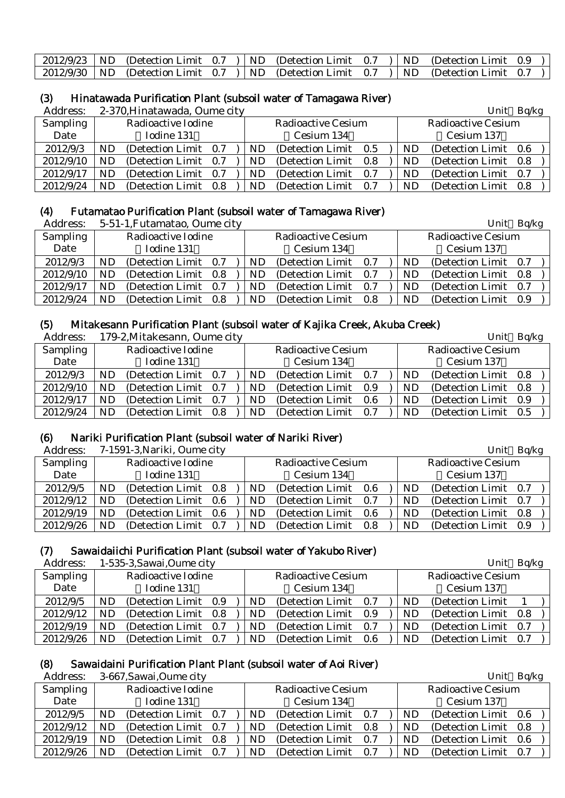|  |  | 2012/9/23   ND (Detection Limit 0.7 )   ND (Detection Limit 0.7 )   ND (Detection Limit 0.9 ) |  |  |  |
|--|--|-----------------------------------------------------------------------------------------------|--|--|--|
|  |  | 2012/9/30   ND (Detection Limit 0.7 )   ND (Detection Limit 0.7 )   ND (Detection Limit 0.7 ) |  |  |  |

# (3) Hinatawada Purification Plant (subsoil water of Tamagawa River)<br>Address:  $2-370$  Hinatawada Qume city

2-370,Hinatawada, Oume city Unit Bq/kg

| AUUI COS. |                    | 2-970,I IIIIatawada, Odille City |       |    |                           |     |  |                           | $UIIIU$ $D\Psi/R$     |     |  |
|-----------|--------------------|----------------------------------|-------|----|---------------------------|-----|--|---------------------------|-----------------------|-----|--|
| Sampling  | Radioactive Iodine |                                  |       |    | <b>Radioactive Cesium</b> |     |  | <b>Radioactive Cesium</b> |                       |     |  |
| Date      |                    | Iodine 131                       |       |    | Cesium 134                |     |  |                           | Cesium 137            |     |  |
| 2012/9/3  | ND                 | (Detection Limit 0.7)            |       | ND | (Detection Limit 0.5)     |     |  | ND                        | (Detection Limit 0.6) |     |  |
| 2012/9/10 | ND                 | (Detection Limit 0.7)            |       | ND | (Detection Limit 0.8)     |     |  | <b>ND</b>                 | (Detection Limit 0.8) |     |  |
| 2012/9/17 | ND                 | (Detection Limit)                | - 0.7 | ND | (Detection Limit)         | 0.7 |  | ND                        | (Detection Limit)     | 0.7 |  |
| 2012/9/24 | ND                 | (Detection Limit)                | 0.8   | ND | (Detection Limit)         | 0.7 |  | ND                        | (Detection Limit)     | 0.8 |  |

#### (4) Futamatao Purification Plant (subsoil water of Tamagawa River)

| Address:  |    | 5-51-1, Futamatao, Oume city |     |     |                           |     |           | Unit                      | Bq/kg |
|-----------|----|------------------------------|-----|-----|---------------------------|-----|-----------|---------------------------|-------|
| Sampling  |    | Radioactive Iodine           |     |     | <b>Radioactive Cesium</b> |     |           | <b>Radioactive Cesium</b> |       |
| Date      |    | Iodine 131                   |     |     | Cesium 134                |     |           | Cesium 137                |       |
| 2012/9/3  | ND | (Detection Limit 0.7)        |     | ND  | (Detection Limit)         | 0.7 | ND        | (Detection Limit 0.7)     |       |
| 2012/9/10 | ND | (Detection Limit 0.8)        |     | ND. | (Detection Limit)         | 0.7 | <b>ND</b> | (Detection Limit 0.8)     |       |
| 2012/9/17 | ND | (Detection Limit)            | 0.7 | ND. | (Detection Limit)         | 0.7 | ND        | (Detection Limit)         | 0.7   |
| 2012/9/24 | ND | (Detection Limit)            | 0.8 | ND. | (Detection Limit)         | 0.8 | ND        | (Detection Limit 0.9)     |       |

# (5) Mitakesann Purification Plant (subsoil water of Kajika Creek, Akuba Creek)

| Address:  |                    | 179-2, Mitakesann, Oume city |     |    |                           |     |  |                           | Unit                  | Bq/kg |
|-----------|--------------------|------------------------------|-----|----|---------------------------|-----|--|---------------------------|-----------------------|-------|
| Sampling  | Radioactive Iodine |                              |     |    | <b>Radioactive Cesium</b> |     |  | <b>Radioactive Cesium</b> |                       |       |
| Date      |                    | Iodine 131                   |     |    | Cesium 134                |     |  |                           | Cesium 137            |       |
| 2012/9/3  | ND                 | (Detection Limit 0.7)        |     | ND | (Detection Limit)         | 0.7 |  | ND                        | (Detection Limit 0.8) |       |
| 2012/9/10 | ND                 | (Detection Limit 0.7)        |     | ND | (Detection Limit)         | 0.9 |  | ND                        | (Detection Limit 0.8) |       |
| 2012/9/17 | ND                 | (Detection Limit 0.7)        |     | ND | (Detection Limit)         | 0.6 |  | ND                        | (Detection Limit)     | 0.9   |
| 2012/9/24 | ND                 | (Detection Limit)            | 0.8 | ND | (Detection Limit)         | 0.7 |  | ND                        | (Detection Limit 0.5) |       |

#### (6) Nariki Purification Plant (subsoil water of Nariki River)

| Address:  |    | 7-1591-3, Nariki, Oume city |       |     |                           |     |     | Unit                  | Bq/kg |  |
|-----------|----|-----------------------------|-------|-----|---------------------------|-----|-----|-----------------------|-------|--|
| Sampling  |    | Radioactive Iodine          |       |     | <b>Radioactive Cesium</b> |     |     | Radioactive Cesium    |       |  |
| Date      |    | Iodine 131                  |       |     | Cesium 134                |     |     | Cesium 137            |       |  |
| 2012/9/5  | ND | (Detection Limit 0.8)       |       | ND. | (Detection Limit 0.6)     |     | ND. | (Detection Limit 0.7) |       |  |
| 2012/9/12 | ND | (Detection Limit 0.6)       |       | ND. | (Detection Limit 0.7)     |     | ND. | (Detection Limit 0.7) |       |  |
| 2012/9/19 | ND | (Detection Limit 0.6)       |       | ND  | (Detection Limit 0.6)     |     | ND  | (Detection Limit 0.8) |       |  |
| 2012/9/26 | ND | (Detection Limit)           | - 0.7 | ND. | (Detection Limit)         | 0.8 | ND  | (Detection Limit)     | 0.9   |  |

# (7) Sawaidaiichi Purification Plant (subsoil water of Yakubo River)

Address: 1-535-3, Sawai, Oume city Unit Background Unit Background Unit Background Unit Background Unit Background Unit Background Unit Background Unit Background Unit Background Unit Background Unit Background Unit Backgr

| Auui Cool<br>1-999-9,9awai,Oulife City                                                                     | $C$ IIIL DYAS |
|------------------------------------------------------------------------------------------------------------|---------------|
| <b>Sampling</b><br>Radioactive Iodine<br><b>Radioactive Cesium</b><br>Radioactive Cesium                   |               |
| Date<br>Iodine 131<br>Cesium 134<br>Cesium 137                                                             |               |
| 2012/9/5<br>(Detection Limit 0.9)<br>(Detection Limit)<br>(Detection Limit)<br>ND<br>- 0.7<br>ND.<br>ND    |               |
| 2012/9/12<br>ND<br>(Detection Limit 0.8)<br>(Detection Limit 0.8)<br>ND<br>(Detection Limit)<br>ND<br>0.9  |               |
| 2012/9/19<br>ND<br>(Detection Limit)<br>(Detection Limit)<br>(Detection Limit)<br>ND<br>ND<br>- 0.7<br>0.7 | 0.7           |
| 2012/9/26<br>ND<br>ND<br>(Detection Limit)<br>ND<br>(Detection Limit)<br>(Detection Limit)<br>0.7<br>0.6   | 0.7           |

# (8) Sawaidaini Purification Plant Plant (subsoil water of Aoi River)

Address: 3-667 Sawai Qume city and the state of the Unit Bq/kg Unit Bq/kg

| <i>i</i> wa wa |                    | $\sigma$ over, barran, banne cres |     |    |                           |     |     |                           | $C$ <sub>iii</sub> c $D_q$ <sub>ii</sub> <sub>n</sub> |  |
|----------------|--------------------|-----------------------------------|-----|----|---------------------------|-----|-----|---------------------------|-------------------------------------------------------|--|
| Sampling       | Radioactive Iodine |                                   |     |    | <b>Radioactive Cesium</b> |     |     | <b>Radioactive Cesium</b> |                                                       |  |
| Date           |                    | Iodine 131                        |     |    | Cesium 134                |     |     | Cesium 137                |                                                       |  |
| 2012/9/5       | ND                 | (Detection Limit 0.7)             |     | ND | (Detection Limit)         | 0.7 | ND  | (Detection Limit 0.6)     |                                                       |  |
| 2012/9/12      | ND                 | (Detection Limit 0.7)             |     | ND | (Detection Limit 0.8)     |     | ND. | (Detection Limit 0.8)     |                                                       |  |
| 2012/9/19      | ND                 | (Detection Limit)                 | 0.8 | ND | (Detection Limit)         | 0.7 | ND  | (Detection Limit)         | 0.6                                                   |  |
| 2012/9/26      | ND                 | (Detection Limit)                 | 0.7 | ND | (Detection Limit)         | 0.7 | ND  | (Detection Limit)         | 0.7                                                   |  |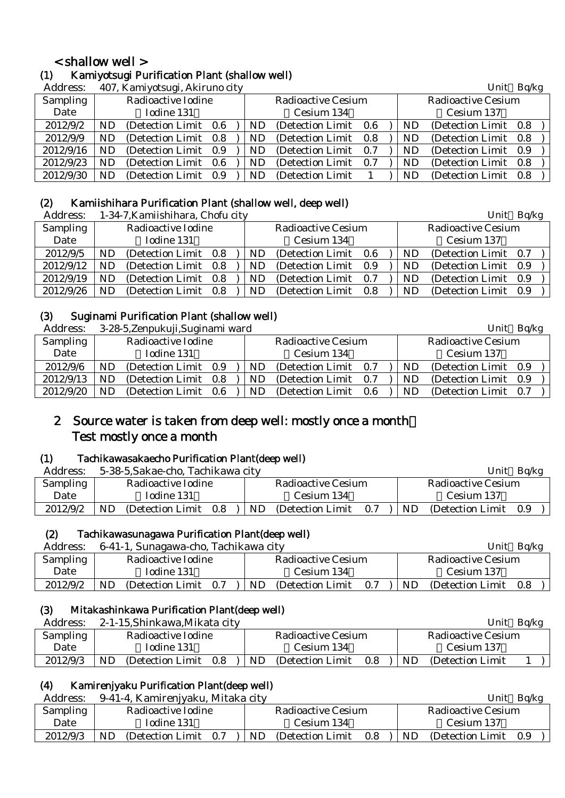# < shallow well >

# (1) Kamiyotsugi Purification Plant (shallow well)

| Address: | 407, Kamiyotsugi, Akiruno city |  |
|----------|--------------------------------|--|
|----------|--------------------------------|--|

| Address:  |           | 407, Kamiyotsugi, Akiruno city |           |                           |     |           | Unit                      | Bq/kg |  |
|-----------|-----------|--------------------------------|-----------|---------------------------|-----|-----------|---------------------------|-------|--|
| Sampling  |           | Radioactive Iodine             |           | <b>Radioactive Cesium</b> |     |           | <b>Radioactive Cesium</b> |       |  |
| Date      |           | Iodine 131                     |           | Cesium 134                |     |           | Cesium 137                |       |  |
| 2012/9/2  | <b>ND</b> | (Detection Limit 0.6)          | ND.       | (Detection Limit 0.6)     |     | ND        | (Detection Limit 0.8)     |       |  |
| 2012/9/9  | ND.       | (Detection Limit 0.8)          | ND.       | (Detection Limit)         | 0.8 | <b>ND</b> | (Detection Limit 0.8)     |       |  |
| 2012/9/16 | ND.       | (Detection Limit 0.9)          | ND.       | (Detection Limit)         | 0.7 | <b>ND</b> | (Detection Limit 0.9)     |       |  |
| 2012/9/23 | ND        | (Detection Limit 0.6)          | <b>ND</b> | (Detection Limit)         | 0.7 | ND        | (Detection Limit 0.8)     |       |  |
| 2012/9/30 | <b>ND</b> | (Detection Limit 0.9)          | ND.       | (Detection Limit)         |     | <b>ND</b> | (Detection Limit)         | 0.8   |  |

# (2) Kamiishihara Purification Plant (shallow well, deep well)

| Address:  |    | 1-34-7, Kamiishihara, Chofu city |     |     |                       |     |    | Unit                      | Bq/kg |  |
|-----------|----|----------------------------------|-----|-----|-----------------------|-----|----|---------------------------|-------|--|
| Sampling  |    | Radioactive Iodine               |     |     | Radioactive Cesium    |     |    | <b>Radioactive Cesium</b> |       |  |
| Date      |    | Iodine 131                       |     |     | Cesium 134            |     |    | Cesium 137                |       |  |
| 2012/9/5  | ND | (Detection Limit 0.8)            |     | ND  | (Detection Limit 0.6) |     | ND | (Detection Limit 0.7)     |       |  |
| 2012/9/12 | ND | (Detection Limit 0.8)            |     | ND. | (Detection Limit)     | 0.9 | ND | (Detection Limit 0.9)     |       |  |
| 2012/9/19 | ND | (Detection Limit 0.8)            |     | ND  | (Detection Limit)     | 0.7 | ND | (Detection Limit 0.9)     |       |  |
| 2012/9/26 | ND | (Detection Limit)                | 0.8 | ND. | (Detection Limit)     | 0.8 | ND | (Detection Limit 0.9)     |       |  |

### (3) Suginami Purification Plant (shallow well)

| Address:        | 3-28-5, Zenpukuji, Suginami ward |                                 | Bq/kg<br>Unit                  |  |  |  |
|-----------------|----------------------------------|---------------------------------|--------------------------------|--|--|--|
| <b>Sampling</b> | Radioactive Iodine               | Radioactive Cesium              | <b>Radioactive Cesium</b>      |  |  |  |
| Date            | Iodine 131                       | Cesium 134                      | Cesium 137                     |  |  |  |
| 2012/9/6        | (Detection Limit 0.9)<br>ND      | (Detection Limit)<br>ND.<br>0.7 | (Detection Limit 0.9)<br>ND    |  |  |  |
| 2012/9/13       | ND<br>(Detection Limit 0.8)      | (Detection Limit)<br>ND<br>0.7  | (Detection Limit 0.9)<br>ND.   |  |  |  |
| 2012/9/20       | ND<br>(Detection Limit 0.6)      | ND<br>(Detection Limit)<br>0.6  | ND<br>(Detection Limit)<br>0.7 |  |  |  |

# 2 Source water is taken from deep well: mostly once a month: Test mostly once a month

# (1) Tachikawasakaecho Purification Plant(deep well)

| Address: | 5-38-5, Sakae-cho, Tachikawa city |                                 | Unit<br>Ba/kg                   |
|----------|-----------------------------------|---------------------------------|---------------------------------|
| Sampling | Radioactive Iodine                | Radioactive Cesium              | <b>Radioactive Cesium</b>       |
| Date     | Iodine 131                        | Cesium 134                      | Cesium 137                      |
| 2012/9/2 | ND<br>(Detection Limit)<br>0.8    | ND.<br>(Detection Limit)<br>0.7 | ND.<br>(Detection Limit)<br>0.9 |

### (2) Tachikawasunagawa Purification Plant(deep well)

| Address: | 6-41-1, Sunagawa-cho, Tachikawa city | Bq/kg<br>Unit                   |                              |
|----------|--------------------------------------|---------------------------------|------------------------------|
| Sampling | Radioactive Iodine                   | Radioactive Cesium              | Radioactive Cesium           |
| Date     | Iodine 131                           | Cesium 134                      | Cesium 137                   |
| 2012/9/2 | ND<br>(Detection Limit 0.7)          | ND.<br>(Detection Limit)<br>0.7 | ND.<br>(Detection Limit 0.8) |

### (3) Mitakashinkawa Purification Plant(deep well)

| Address: | 2-1-15, Shinkawa, Mikata city  |                                 | Ba/kg<br>Unit           |  |  |
|----------|--------------------------------|---------------------------------|-------------------------|--|--|
| Sampling | Radioactive Iodine             | Radioactive Cesium              | Radioactive Cesium      |  |  |
| Date     | Iodine 131                     | Cesium 134                      | Cesium 137              |  |  |
| 2012/9/3 | ND<br>(Detection Limit)<br>0.8 | ND.<br>(Detection Limit)<br>0.8 | ND<br>(Detection Limit) |  |  |

#### (4) Kamirenjyaku Purification Plant(deep well)

|  | Address: 9-41-4, Kamirenjyaku, Mitaka city | Unit | Bq/kg |  |
|--|--------------------------------------------|------|-------|--|
|--|--------------------------------------------|------|-------|--|

| .        |                    |                   |     |    |                    |     |    |                    |     |  |
|----------|--------------------|-------------------|-----|----|--------------------|-----|----|--------------------|-----|--|
| Sampling | Radioactive Iodine |                   |     |    | Radioactive Cesium |     |    | Radioactive Cesium |     |  |
| Date     |                    | Iodine 131        |     |    | Cesium 134         |     |    | Cesium 137         |     |  |
| 2012/9/3 | ND                 | (Detection Limit) | 0.7 | ND | (Detection Limit)  | 0.8 | ND | (Detection Limit)  | 0.9 |  |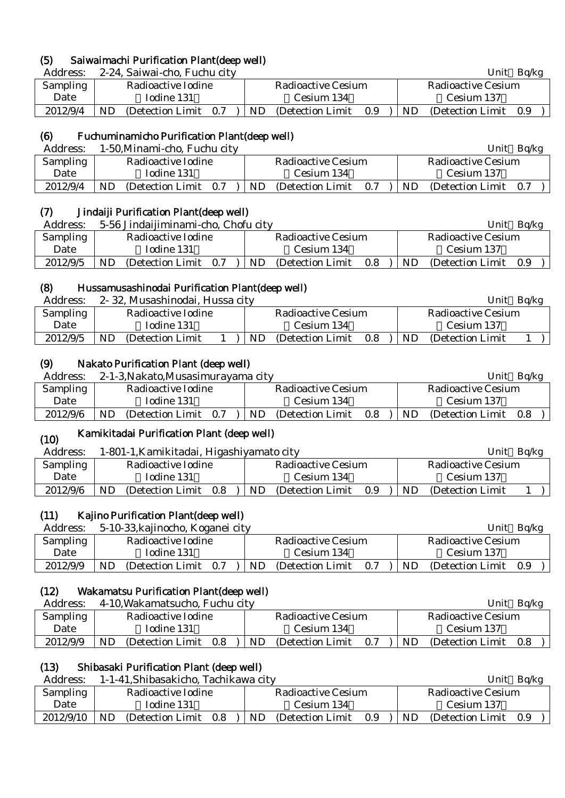# (5) Saiwaimachi Purification Plant(deep well)

| Address: 2-24, Saiwai-cho, Fuchu city | Unit Bq/kg |
|---------------------------------------|------------|

| . .uu vool | $\approx$ $\approx$ 1, barrier cho, I dond cher |                                                | .<br>-----                   |  |  |  |
|------------|-------------------------------------------------|------------------------------------------------|------------------------------|--|--|--|
| Sampling   | Radioactive Iodine                              | Radioactive Cesium                             | Radioactive Cesium           |  |  |  |
| Date       | Iodine 131                                      | Cesium 134                                     | Cesium 137                   |  |  |  |
| 2012/9/4   | ND.<br>(Detection Limit 0.7)                    | $ \text{ND} \text{Detlection Limit} \quad 0.9$ | ND.<br>(Detection Limit 0.9) |  |  |  |

# (6) Fuchuminamicho Purification Plant(deep well)

| Address: |                    |                   | 1-50, Minami-cho, Fuchu city |                    |                   |     |                    | Unit<br>Ba/kg     |     |  |  |
|----------|--------------------|-------------------|------------------------------|--------------------|-------------------|-----|--------------------|-------------------|-----|--|--|
| Sampling | Radioactive Iodine |                   |                              | Radioactive Cesium |                   |     | Radioactive Cesium |                   |     |  |  |
| Date     |                    | Iodine 131        |                              | Cesium 134         |                   |     | Cesium 137         |                   |     |  |  |
| 2012/9/4 | ND                 | (Detection Limit) | 0.7                          | ND.                | (Detection Limit) | 0.7 | <b>ND</b>          | (Detection Limit) | 0.7 |  |  |
|          |                    |                   |                              |                    |                   |     |                    |                   |     |  |  |

# (7) Jindaiji Purification Plant(deep well)

| Address: | 5-56 Jindaijiminami-cho, Chofu city | Unit<br>Ba/kg                   |                              |  |  |
|----------|-------------------------------------|---------------------------------|------------------------------|--|--|
| Sampling | Radioactive Iodine                  | <b>Radioactive Cesium</b>       | Radioactive Cesium           |  |  |
| Date     | Iodine 131                          | Cesium 134                      | Cesium 137                   |  |  |
| 2012/9/5 | ND<br>(Detection Limit 0.7)         | ND.<br>(Detection Limit)<br>0.8 | ND.<br>(Detection Limit 0.9) |  |  |

# (8) Hussamusashinodai Purification Plant(deep well)

| Address: |    | 2-32, Musashinodai, Hussa city |  |  |                    |                   |     |                    | Unit              | Ba/kg |  |
|----------|----|--------------------------------|--|--|--------------------|-------------------|-----|--------------------|-------------------|-------|--|
| Sampling |    | Radioactive Iodine             |  |  | Radioactive Cesium |                   |     | Radioactive Cesium |                   |       |  |
| Date     |    | Todine 131                     |  |  | Cesium 134         |                   |     |                    | Cesium 137        |       |  |
| 2012/9/5 | ND | (Detection Limit)              |  |  | ND.                | (Detection Limit) | 0.8 | ND.                | (Detection Limit) |       |  |
|          |    |                                |  |  |                    |                   |     |                    |                   |       |  |

# (9) Nakato Purification Plant (deep well)

| Address: |                    | 2-1-3, Nakato, Musasimurayama city |  | Unit<br>Ba/kg      |                   |     |                    |                       |  |  |
|----------|--------------------|------------------------------------|--|--------------------|-------------------|-----|--------------------|-----------------------|--|--|
| Sampling | Radioactive Iodine |                                    |  | Radioactive Cesium |                   |     | Radioactive Cesium |                       |  |  |
| Date     |                    | Iodine 131                         |  | Cesium 134         |                   |     |                    | Cesium 137            |  |  |
| 2012/9/6 | ND                 | (Detection Limit 0.7)              |  | ND                 | (Detection Limit) | 0.8 | ND.                | (Detection Limit 0.8) |  |  |

### (10) Kamikitadai Purification Plant (deep well)

| Address: |                                | 1-801-1, Kamikitadai, Higashiyamato city |                         |  |  |  |  |  |
|----------|--------------------------------|------------------------------------------|-------------------------|--|--|--|--|--|
| Sampling | Radioactive Iodine             | Radioactive Cesium                       | Radioactive Cesium      |  |  |  |  |  |
| Date     | Iodine 131                     | Cesium 134                               | Cesium 137              |  |  |  |  |  |
| 2012/9/6 | ND<br>(Detection Limit)<br>0.8 | ND<br>(Detection Limit)<br>0.9           | ND<br>(Detection Limit) |  |  |  |  |  |

# (11) Kajino Purification Plant(deep well)

| Address: | 5-10-33, kajinocho, Koganei city |                    |     |                    | Ba/kg<br>Unit |     |                       |  |  |  |
|----------|----------------------------------|--------------------|-----|--------------------|---------------|-----|-----------------------|--|--|--|
| Sampling |                                  | Radioactive Iodine |     | Radioactive Cesium |               |     | Radioactive Cesium    |  |  |  |
| Date     |                                  | Iodine 131         |     | Cesium 134         |               |     | Cesium 137            |  |  |  |
| 2012/9/9 | (Detection Limit)<br>ND          | 0.7                | ND. | (Detection Limit)  | 0.7           | ND. | (Detection Limit 0.9) |  |  |  |

# (12) Wakamatsu Purification Plant(deep well)

| Address: |                    | 4-10, Wakamatsucho, Fuchu city |     |                    |                   |     | Unit               | Bq/kg                 |  |  |
|----------|--------------------|--------------------------------|-----|--------------------|-------------------|-----|--------------------|-----------------------|--|--|
| Sampling | Radioactive Iodine |                                |     | Radioactive Cesium |                   |     | Radioactive Cesium |                       |  |  |
| Date     |                    | Iodine 131                     |     | Cesium 134         |                   |     |                    | Cesium 137            |  |  |
| 2012/9/9 | ND                 | (Detection Limit)              | 0.8 | ND.                | (Detection Limit) | 0.7 | ND                 | (Detection Limit 0.8) |  |  |

# (13) Shibasaki Purification Plant (deep well)

| Address:  | 1-1-41, Shibasakicho, Tachikawa city | Unit<br>Ba/kg                         |                                       |  |  |
|-----------|--------------------------------------|---------------------------------------|---------------------------------------|--|--|
| Sampling  | Radioactive Iodine                   | Radioactive Cesium                    | Radioactive Cesium                    |  |  |
| Date      | Iodine 131                           | Cesium 134                            | Cesium 137                            |  |  |
| 2012/9/10 | ND<br>(Detection Limit)<br>0.8       | <b>ND</b><br>0.9<br>(Detection Limit) | <b>ND</b><br>(Detection Limit)<br>0.9 |  |  |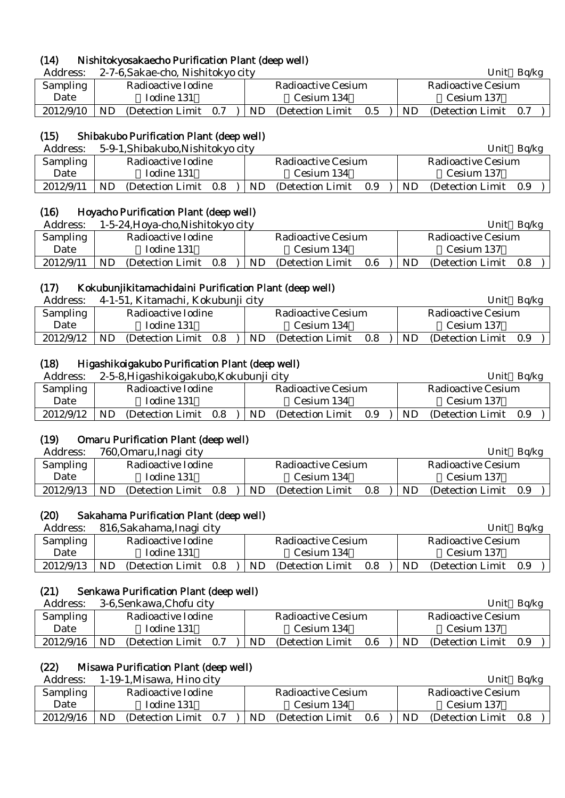# (14) Nishitokyosakaecho Purification Plant (deep well)

Address: 2-7-6,Sakae-cho, Nishitokyo city Unit Bq/kg

| 7 ruul Cool     | $\omega$ , $\omega$ , $\omega$ and $\omega$ , $\omega$ , $\omega$ is the $\omega$ of $\omega$ |                                               | ◡…<br><b>DUILE</b>           |  |  |
|-----------------|-----------------------------------------------------------------------------------------------|-----------------------------------------------|------------------------------|--|--|
| <b>Sampling</b> | Radioactive Iodine                                                                            | Radioactive Cesium                            | Radioactive Cesium           |  |  |
| Date            | Iodine 131                                                                                    | Cesium 134                                    | Cesium 137                   |  |  |
| 2012/9/10       | ND.<br>(Detection Limit 0.7)                                                                  | $ \text{ND} \text{Detection Limit} \quad 0.5$ | ND.<br>(Detection Limit 0.7) |  |  |

# (15) Shibakubo Purification Plant (deep well)

| Address:  | 5-9-1, Shibakubo, Nishitokyo city |                                 | Ba/kg<br>Unit                  |
|-----------|-----------------------------------|---------------------------------|--------------------------------|
| Sampling  | Radioactive Iodine                | Radioactive Cesium              | Radioactive Cesium             |
| Date      | Iodine 131                        | Cesium 134                      | Cesium 137                     |
| 2012/9/11 | ND<br>(Detection Limit)<br>0.8    | ND.<br>(Detection Limit)<br>0.9 | ND<br>(Detection Limit)<br>0.9 |

# (16) Hoyacho Purification Plant (deep well)

| Address:  | 1-5-24, Hoya-cho, Nishitokyo city |                                 | Bq/kg<br>Unit                   |
|-----------|-----------------------------------|---------------------------------|---------------------------------|
| Sampling  | Radioactive Iodine                | Radioactive Cesium              | Radioactive Cesium              |
| Date      | Iodine 131                        | Cesium 134                      | Cesium 137                      |
| 2012/9/11 | ND.<br>(Detection Limit)<br>0.8   | ND.<br>0.6<br>(Detection Limit) | ND.<br>(Detection Limit)<br>0.8 |

# (17) Kokubunjikitamachidaini Purification Plant (deep well)

| Address:  |     | 4-1-51, Kitamachi, Kokubunji city |     |     |                           |     |     | Unit               | Ba/kg |  |
|-----------|-----|-----------------------------------|-----|-----|---------------------------|-----|-----|--------------------|-------|--|
| Sampling  |     | Radioactive Iodine                |     |     | <b>Radioactive Cesium</b> |     |     | Radioactive Cesium |       |  |
| Date      |     | Iodine 131                        |     |     | Cesium 134                |     |     | Cesium 137         |       |  |
| 2012/9/12 | ND. | (Detection Limit)                 | 0.8 | ND. | (Detection Limit)         | 0.8 | ND. | (Detection Limit)  | 0.9   |  |
|           |     |                                   |     |     |                           |     |     |                    |       |  |

# (18) Higashikoigakubo Purification Plant (deep well)

| Address:  |                    | 2-5-8, Higashikoigakubo, Kokubunji city |         |           |                    | Ba/kg<br>Unit |     |                       |  |  |
|-----------|--------------------|-----------------------------------------|---------|-----------|--------------------|---------------|-----|-----------------------|--|--|
| Sampling  | Radioactive Iodine |                                         |         |           | Radioactive Cesium |               |     | Radioactive Cesium    |  |  |
| Date      |                    | Iodine 131                              |         |           | Cesium 134         |               |     | Cesium 137            |  |  |
| 2012/9/12 | ND.                | (Detection Limit)                       | $0.8\,$ | <b>ND</b> | (Detection Limit)  | 0.9           | ND. | (Detection Limit 0.9) |  |  |

# (19) Omaru Purification Plant (deep well)

| Address:  | 760, Omaru, Inagi city         |                                | Unit<br>Ba/kg               |  |  |
|-----------|--------------------------------|--------------------------------|-----------------------------|--|--|
| Sampling  | Radioactive Iodine             | Radioactive Cesium             | Radioactive Cesium          |  |  |
| Date      | Iodine 131                     | Cesium 134                     | Cesium 137                  |  |  |
| 2012/9/13 | ND<br>(Detection Limit)<br>0.8 | ND<br>(Detection Limit)<br>0.8 | ND<br>(Detection Limit 0.9) |  |  |

# (20) Sakahama Purification Plant (deep well)

| Address:        | 816, Sakahama, Inagi city      |                                     | Ba/kg<br>Unit                         |  |  |
|-----------------|--------------------------------|-------------------------------------|---------------------------------------|--|--|
| <b>Sampling</b> | Radioactive Iodine             | <b>Radioactive Cesium</b>           | <b>Radioactive Cesium</b>             |  |  |
| Date            | Iodine 131                     | Cesium 134                          | Cesium 137                            |  |  |
| 2012/9/13       | ND<br>(Detection Limit)<br>0.8 | ND.<br>(Detection Limit)<br>$0.8\,$ | <b>ND</b><br>(Detection Limit)<br>0.9 |  |  |

# (21) Senkawa Purification Plant (deep well)

| Address:  | 3-6, Senkawa, Chofu city       |                                     | Unit<br>Ba/kg                      |  |  |
|-----------|--------------------------------|-------------------------------------|------------------------------------|--|--|
| Sampling  | Radioactive Iodine             | <b>Radioactive Cesium</b>           | Radioactive Cesium                 |  |  |
| Date      | Iodine 131                     | Cesium 134                          | Cesium 137                         |  |  |
| 2012/9/16 | ND<br>(Detection Limit)<br>0.7 | ND.<br>(Detection Limit)<br>$0.6\,$ | <b>ND</b><br>(Detection Limit 0.9) |  |  |

# (22) Misawa Purification Plant (deep well)

| Address:        | 1-19-1, Misawa, Hino city      |                                | Unit<br>Ba/kg                    |  |  |
|-----------------|--------------------------------|--------------------------------|----------------------------------|--|--|
| <b>Sampling</b> | Radioactive Iodine             | Radioactive Cesium             | Radioactive Cesium               |  |  |
| Date            | Iodine 131                     | Cesium 134                     | Cesium 137                       |  |  |
| 2012/9/16       | ND<br>(Detection Limit)<br>0.7 | 0.6<br>ND<br>(Detection Limit) | ND<br>(Detection Limit)<br>- 0.8 |  |  |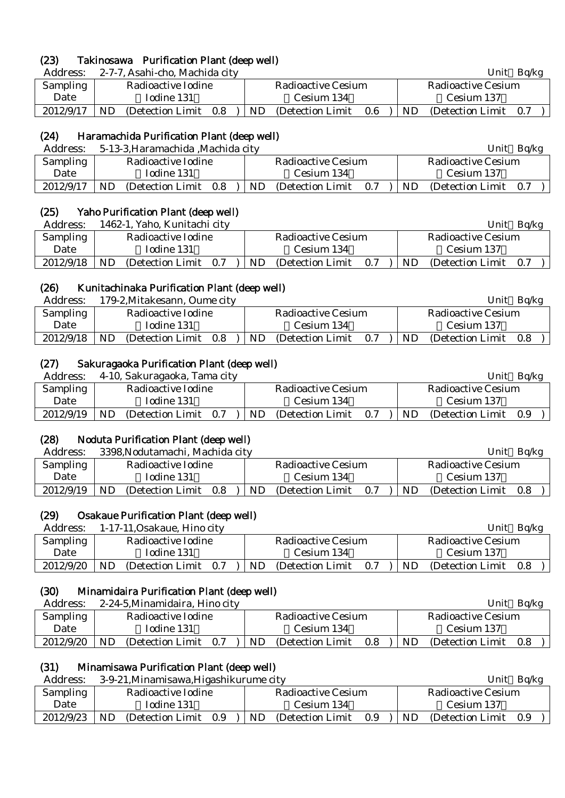# (23) Takinosawa Purification Plant (deep well)

Address: 2-7-7, Asahi-cho, Machida city Unit Bq/kg

| <i>L</i> udico, |                    |                                                      | ິ<br><b>DUILE</b>              |  |  |
|-----------------|--------------------|------------------------------------------------------|--------------------------------|--|--|
| <b>Sampling</b> | Radioactive Iodine | Radioactive Cesium                                   | Radioactive Cesium             |  |  |
| Date            | Iodine 131         | Cesium 134                                           | Cesium 137                     |  |  |
| 2012/9/17       | ND.                | (Detection Limit $0.8$ ) ND (Detection Limit $0.6$ ) | ND.<br>(Detection Limit<br>0.7 |  |  |

# (24) Haramachida Purification Plant (deep well)

| Address:        |    | 5-13-3, Haramachida , Machida city |     |     |                    |     |    | Unit                  | Ba/kg |  |
|-----------------|----|------------------------------------|-----|-----|--------------------|-----|----|-----------------------|-------|--|
| <b>Sampling</b> |    | Radioactive Iodine                 |     |     | Radioactive Cesium |     |    | Radioactive Cesium    |       |  |
| Date            |    | Iodine 131                         |     |     | Cesium 134         |     |    | Cesium 137            |       |  |
| 2012/9/17       | ND | (Detection Limit)                  | 0.8 | ND. | (Detection Limit)  | 0.7 | ND | (Detection Limit 0.7) |       |  |
|                 |    |                                    |     |     |                    |     |    |                       |       |  |

# (25) Yaho Purification Plant (deep well)

| Address:        | 1462-1, Yaho, Kunitachi city |                                 | Ba/kg<br>Unit               |  |  |
|-----------------|------------------------------|---------------------------------|-----------------------------|--|--|
| <b>Sampling</b> | Radioactive Iodine           | Radioactive Cesium              | Radioactive Cesium          |  |  |
| Date            | Iodine 131                   | Cesium 134                      | Cesium 137                  |  |  |
| 2012/9/18       | ND.<br>(Detection Limit 0.7) | ND.<br>0.7<br>(Detection Limit) | ND<br>(Detection Limit 0.7) |  |  |

# (26) Kunitachinaka Purification Plant (deep well)

| Address:        | 179-2, Mitakesann, Oume city   |                    |    |                   |                    |           | Unit              | Ba/kg |  |
|-----------------|--------------------------------|--------------------|----|-------------------|--------------------|-----------|-------------------|-------|--|
| <b>Sampling</b> | Radioactive Iodine             | Radioactive Cesium |    |                   | Radioactive Cesium |           |                   |       |  |
| Date            | Iodine 131                     |                    |    | Cesium 134        |                    |           | Cesium 137        |       |  |
| 2012/9/18       | ND<br>(Detection Limit)<br>0.8 |                    | ND | (Detection Limit) | 0.7                | <b>ND</b> | (Detection Limit) | 0.8   |  |
|                 |                                |                    |    |                   |                    |           |                   |       |  |

# (27) Sakuragaoka Purification Plant (deep well)

| Address:  |                    | 4-10, Sakuragaoka, Tama city |     |                           |                   |     |                    | Unit                  | Ba/kg |  |
|-----------|--------------------|------------------------------|-----|---------------------------|-------------------|-----|--------------------|-----------------------|-------|--|
| Sampling  | Radioactive Iodine |                              |     | <b>Radioactive Cesium</b> |                   |     | Radioactive Cesium |                       |       |  |
| Date      |                    | Iodine 131                   |     | Cesium 134                |                   |     | Cesium 137         |                       |       |  |
| 2012/9/19 | ND                 | (Detection Limit)            | 0.7 | ND.                       | (Detection Limit) | 0.7 | <b>ND</b>          | (Detection Limit 0.9) |       |  |
|           |                    |                              |     |                           |                   |     |                    |                       |       |  |

# (28) Noduta Purification Plant (deep well)

| Address:        | 3398, Nodutamachi, Machida city |  |                    |                   |     |                           |            | Unit              | Ba/kg |  |
|-----------------|---------------------------------|--|--------------------|-------------------|-----|---------------------------|------------|-------------------|-------|--|
| <b>Sampling</b> | Radioactive Iodine              |  | Radioactive Cesium |                   |     | <b>Radioactive Cesium</b> |            |                   |       |  |
| Date            | Iodine 131                      |  |                    | Cesium 134        |     |                           | Cesium 137 |                   |       |  |
| 2012/9/19       | ND<br>(Detection Limit)<br>0.8  |  | ND                 | (Detection Limit) | 0.7 |                           | ND         | (Detection Limit) | 0.8   |  |

# (29) Osakaue Purification Plant (deep well)

| Address:        | 1-17-11, Osakaue, Hino city    |                                 | Ba/kg<br>Unit                      |  |  |  |
|-----------------|--------------------------------|---------------------------------|------------------------------------|--|--|--|
| <b>Sampling</b> | Radioactive Iodine             | <b>Radioactive Cesium</b>       | Radioactive Cesium                 |  |  |  |
| Date            | Iodine 131                     | Cesium 134                      | Cesium 137                         |  |  |  |
| 2012/9/20       | ND<br>(Detection Limit)<br>0.7 | ND.<br>(Detection Limit)<br>0.7 | <b>ND</b><br>(Detection Limit 0.8) |  |  |  |

# (30) Minamidaira Purification Plant (deep well)

| Address:  | 2-24-5, Minamidaira, Hino city  |                                     | Ba/kg<br>Unit               |  |  |  |
|-----------|---------------------------------|-------------------------------------|-----------------------------|--|--|--|
| Sampling  | Radioactive Iodine              | Radioactive Cesium                  | Radioactive Cesium          |  |  |  |
| Date      | Iodine 131                      | Cesium 134                          | Cesium 137                  |  |  |  |
| 2012/9/20 | ND.<br>(Detection Limit)<br>0.7 | ND.<br>$0.8\,$<br>(Detection Limit) | ND<br>(Detection Limit 0.8) |  |  |  |

# (31) Minamisawa Purification Plant (deep well)

| Address:        | 3-9-21, Minamisawa, Higashikurume city |                                | Unit<br>Ba/kg                         |  |  |
|-----------------|----------------------------------------|--------------------------------|---------------------------------------|--|--|
| <b>Sampling</b> | Radioactive Iodine                     | <b>Radioactive Cesium</b>      | Radioactive Cesium                    |  |  |
| Date            | Iodine 131                             | Cesium 134                     | Cesium 137                            |  |  |
| 2012/9/23       | ND<br>(Detection Limit)<br>0.9         | ND<br>0.9<br>(Detection Limit) | <b>ND</b><br>(Detection Limit)<br>0.9 |  |  |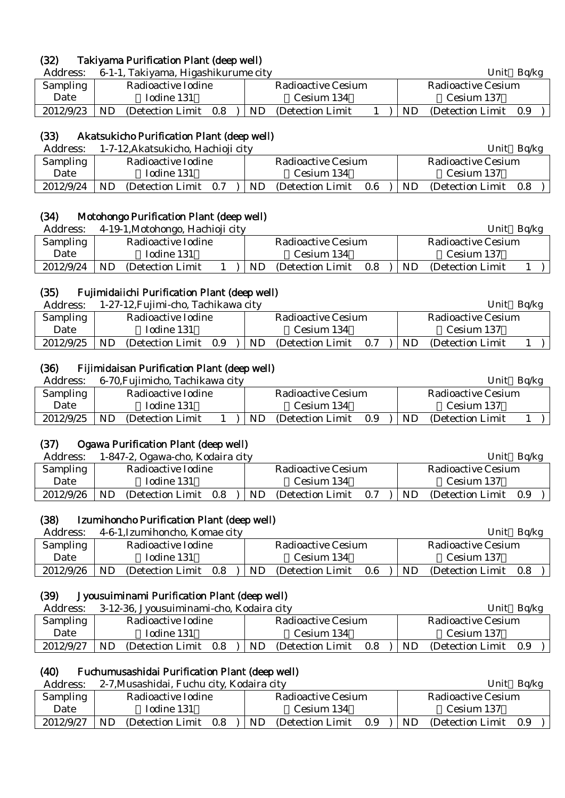# (32) Takiyama Purification Plant (deep well)

Address: 6-1-1, Takiyama, Higashikurume city Unit Bq/kg

| <b>Sampling</b> |     | Radioactive Iodine    |     | Radioactive Cesium |  |     | Radioactive Cesium |     |  |
|-----------------|-----|-----------------------|-----|--------------------|--|-----|--------------------|-----|--|
| Date            |     | Iodine 131            |     | Cesium 134         |  |     | Cesium 137         |     |  |
| 2012/9/23       | ND. | (Detection Limit 0.8) | ND. | (Detection Limit)  |  | ND. | (Detection Limit)  | 0.9 |  |

# (33) Akatsukicho Purification Plant (deep well)

| Address:        | 1-7-12, Akatsukicho, Hachioji city |                                 | Unit<br>Ba/kg                |  |  |
|-----------------|------------------------------------|---------------------------------|------------------------------|--|--|
| <b>Sampling</b> | Radioactive Iodine                 | Radioactive Cesium              | Radioactive Cesium           |  |  |
| Date            | Iodine 131                         | Cesium 134                      | Cesium 137                   |  |  |
| 2012/9/24       | ND.<br>(Detection Limit 0.7)       | (Detection Limit)<br>ND.<br>0.6 | ND.<br>(Detection Limit 0.8) |  |  |

# (34) Motohongo Purification Plant (deep well)

| Address:  | 4-19-1, Motohongo, Hachioji city |                                | Ba/kg<br>Unit           |
|-----------|----------------------------------|--------------------------------|-------------------------|
| Sampling  | Radioactive Iodine               | Radioactive Cesium             | Radioactive Cesium      |
| Date      | Iodine 131                       | Cesium 134                     | Cesium 137              |
| 2012/9/24 | ND<br>(Detection Limit)          | ND<br>(Detection Limit)<br>0.8 | ND<br>(Detection Limit) |

# (35) Fujimidaiichi Purification Plant (deep well)

| Address:  |    | 1-27-12, Fujimi-cho, Tachikawa city |     |    |                    |     | Unit<br>Bq/kg |                    |  |  |  |
|-----------|----|-------------------------------------|-----|----|--------------------|-----|---------------|--------------------|--|--|--|
| Sampling  |    | Radioactive Iodine                  |     |    | Radioactive Cesium |     |               | Radioactive Cesium |  |  |  |
| Date      |    | Iodine 131                          |     |    | Cesium 134         |     |               | Cesium 137         |  |  |  |
| 2012/9/25 | ND | (Detection Limit)                   | 0.9 | ND | (Detection Limit)  | 0.7 | <b>ND</b>     | (Detection Limit)  |  |  |  |

# (36) Fijimidaisan Purification Plant (deep well)

| Address:        | 6-70, Fujimicho, Tachikawa city |                    |                   |     |                    | Unit              | Ba/kg |
|-----------------|---------------------------------|--------------------|-------------------|-----|--------------------|-------------------|-------|
| <b>Sampling</b> | Radioactive Iodine              | Radioactive Cesium |                   |     | Radioactive Cesium |                   |       |
| Date            | Iodine 131                      |                    | Cesium 134        |     |                    | Cesium 137        |       |
| 2012/9/25       | ND.<br>(Detection Limit)        | ND.                | (Detection Limit) | 0.9 | ND.                | (Detection Limit) |       |

# (37) Ogawa Purification Plant (deep well)

| Address:  | 1-847-2, Ogawa-cho, Kodaira city |                                 | Unit $Bq/kg$                 |
|-----------|----------------------------------|---------------------------------|------------------------------|
| Sampling  | Radioactive Iodine               | Radioactive Cesium              | Radioactive Cesium           |
| Date      | Iodine 131                       | Cesium 134                      | Cesium 137                   |
| 2012/9/26 | ND<br>(Detection Limit)<br>0.8   | ND.<br>(Detection Limit)<br>0.7 | ND.<br>(Detection Limit 0.9) |

# (38) Izumihoncho Purification Plant (deep well)

| Address:        |    | 4-6-1. Izumihoncho, Komae city |     |     |                    |     |           | Unit               | Ba/kg |  |
|-----------------|----|--------------------------------|-----|-----|--------------------|-----|-----------|--------------------|-------|--|
| <b>Sampling</b> |    | Radioactive Iodine             |     |     | Radioactive Cesium |     |           | Radioactive Cesium |       |  |
| Date            |    | Iodine 131                     |     |     | Cesium 134         |     |           | Cesium 137         |       |  |
| 2012/9/26       | ND | (Detection Limit)              | 0.8 | ND. | (Detection Limit)  | 0.6 | <b>ND</b> | (Detection Limit)  | 0.8   |  |
|                 |    |                                |     |     |                    |     |           |                    |       |  |

# (39) Jyousuiminami Purification Plant (deep well)

| Address:        | 3-12-36, Jyousuiminami-cho, Kodaira city |                       |  |                    |                   | Unit                      | Ba/kg |                       |  |  |
|-----------------|------------------------------------------|-----------------------|--|--------------------|-------------------|---------------------------|-------|-----------------------|--|--|
| <b>Sampling</b> | Radioactive Iodine                       |                       |  | Radioactive Cesium |                   | <b>Radioactive Cesium</b> |       |                       |  |  |
| Date            |                                          | Iodine 131            |  |                    | Cesium 134        |                           |       | Cesium 137            |  |  |
| 2012/9/27       | ND                                       | (Detection Limit 0.8) |  | ND.                | (Detection Limit) | 0.8                       | ND.   | (Detection Limit 0.9) |  |  |

# (40) Fuchumusashidai Purification Plant (deep well)

| Address:  | 2-7, Musashidai, Fuchu city, Kodaira city |                                                       | Ba/kg<br>Unit            |
|-----------|-------------------------------------------|-------------------------------------------------------|--------------------------|
| Sampling  | Radioactive Iodine                        | Radioactive Cesium                                    | Radioactive Cesium       |
| Date      | Iodine 131                                | Cesium 134                                            | Cesium 137               |
| 2012/9/27 | - ND<br>(Detection Limit 0.8)             | $ \text{ND} \quad \text{(Detection Limit} \quad 0.9)$ | ND (Detection Limit 0.9) |